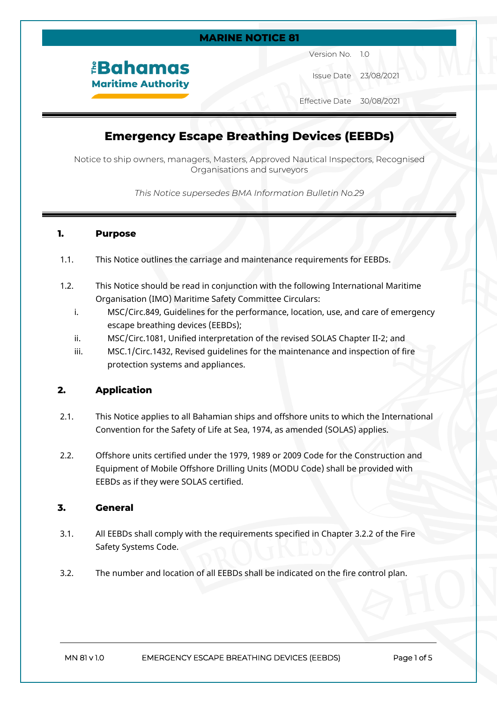#### **MARINE NOTICE 81**

*<u><b>EBahamas</u>* **Maritime Authority** 

Version No. 1.0

Issue Date 23/08/2021

Effective Date 30/08/2021

# **Emergency Escape Breathing Devices (EEBDs)**

Notice to ship owners, managers, Masters, Approved Nautical Inspectors, Recognised Organisations and surveyors

*This Notice supersedes BMA Information Bulletin No.29*

# **1. Purpose**

- 1.1. This Notice outlines the carriage and maintenance requirements for EEBDs.
- 1.2. This Notice should be read in conjunction with the following International Maritime Organisation (IMO) Maritime Safety Committee Circulars:
	- i. MSC/Circ.849, Guidelines for the performance, location, use, and care of emergency escape breathing devices (EEBDs);
	- ii. MSC/Circ.1081, Unified interpretation of the revised SOLAS Chapter II-2; and
	- iii. MSC.1/Circ.1432, Revised guidelines for the maintenance and inspection of fire protection systems and appliances.

# **2. Application**

- 2.1. This Notice applies to all Bahamian ships and offshore units to which the International Convention for the Safety of Life at Sea, 1974, as amended (SOLAS) applies.
- 2.2. Offshore units certified under the 1979, 1989 or 2009 Code for the Construction and Equipment of Mobile Offshore Drilling Units (MODU Code) shall be provided with EEBDs as if they were SOLAS certified.

# **3. General**

- 3.1. All EEBDs shall comply with the requirements specified in Chapter 3.2.2 of the Fire Safety Systems Code.
- 3.2. The number and location of all EEBDs shall be indicated on the fire control plan.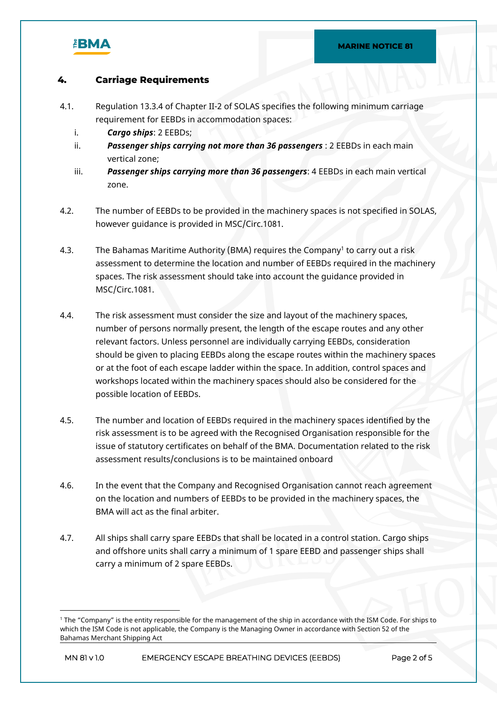

# **4. Carriage Requirements**

- 4.1. Regulation 13.3.4 of Chapter II-2 of SOLAS specifies the following minimum carriage requirement for EEBDs in accommodation spaces:
	- i. *Cargo ships*: 2 EEBDs;
	- ii. *Passenger ships carrying not more than 36 passengers* : 2 EEBDs in each main vertical zone;
	- iii. *Passenger ships carrying more than 36 passengers*: 4 EEBDs in each main vertical zone.
- 4.2. The number of EEBDs to be provided in the machinery spaces is not specified in SOLAS, however guidance is provided in MSC/Circ.1081.
- 4.3. The Bahamas Maritime Authority (BMA) requires the Company<sup>1</sup> to carry out a risk assessment to determine the location and number of EEBDs required in the machinery spaces. The risk assessment should take into account the guidance provided in MSC/Circ.1081.
- 4.4. The risk assessment must consider the size and layout of the machinery spaces, number of persons normally present, the length of the escape routes and any other relevant factors. Unless personnel are individually carrying EEBDs, consideration should be given to placing EEBDs along the escape routes within the machinery spaces or at the foot of each escape ladder within the space. In addition, control spaces and workshops located within the machinery spaces should also be considered for the possible location of EEBDs.
- 4.5. The number and location of EEBDs required in the machinery spaces identified by the risk assessment is to be agreed with the Recognised Organisation responsible for the issue of statutory certificates on behalf of the BMA. Documentation related to the risk assessment results/conclusions is to be maintained onboard
- 4.6. In the event that the Company and Recognised Organisation cannot reach agreement on the location and numbers of EEBDs to be provided in the machinery spaces, the BMA will act as the final arbiter.
- 4.7. All ships shall carry spare EEBDs that shall be located in a control station. Cargo ships and offshore units shall carry a minimum of 1 spare EEBD and passenger ships shall carry a minimum of 2 spare EEBDs.

<sup>1</sup> The "Company" is the entity responsible for the management of the ship in accordance with the ISM Code. For ships to which the ISM Code is not applicable, the Company is the Managing Owner in accordance with Section 52 of the Bahamas Merchant Shipping Act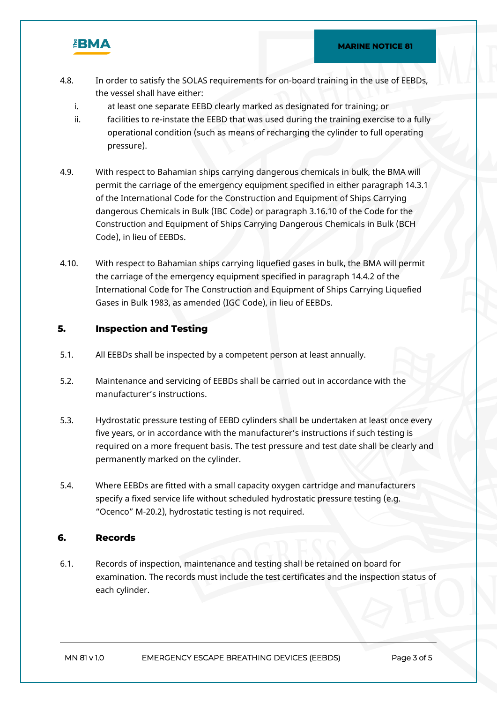

- 4.8. In order to satisfy the SOLAS requirements for on-board training in the use of EEBDs, the vessel shall have either:
	- i. at least one separate EEBD clearly marked as designated for training; or
	- ii. facilities to re-instate the EEBD that was used during the training exercise to a fully operational condition (such as means of recharging the cylinder to full operating pressure).
- 4.9. With respect to Bahamian ships carrying dangerous chemicals in bulk, the BMA will permit the carriage of the emergency equipment specified in either paragraph 14.3.1 of the International Code for the Construction and Equipment of Ships Carrying dangerous Chemicals in Bulk (IBC Code) or paragraph 3.16.10 of the Code for the Construction and Equipment of Ships Carrying Dangerous Chemicals in Bulk (BCH Code), in lieu of EEBDs.
- 4.10. With respect to Bahamian ships carrying liquefied gases in bulk, the BMA will permit the carriage of the emergency equipment specified in paragraph 14.4.2 of the International Code for The Construction and Equipment of Ships Carrying Liquefied Gases in Bulk 1983, as amended (IGC Code), in lieu of EEBDs.

#### **5. Inspection and Testing**

- 5.1. All EEBDs shall be inspected by a competent person at least annually.
- 5.2. Maintenance and servicing of EEBDs shall be carried out in accordance with the manufacturer's instructions.
- 5.3. Hydrostatic pressure testing of EEBD cylinders shall be undertaken at least once every five years, or in accordance with the manufacturer's instructions if such testing is required on a more frequent basis. The test pressure and test date shall be clearly and permanently marked on the cylinder.
- 5.4. Where EEBDs are fitted with a small capacity oxygen cartridge and manufacturers specify a fixed service life without scheduled hydrostatic pressure testing (e.g. "Ocenco" M-20.2), hydrostatic testing is not required.

# **6. Records**

6.1. Records of inspection, maintenance and testing shall be retained on board for examination. The records must include the test certificates and the inspection status of each cylinder.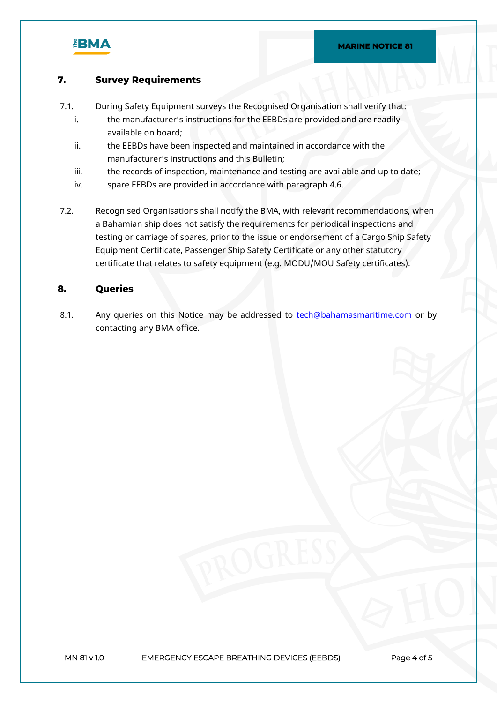

# **7. Survey Requirements**

- 7.1. During Safety Equipment surveys the Recognised Organisation shall verify that:
	- i. the manufacturer's instructions for the EEBDs are provided and are readily available on board;
	- ii. the EEBDs have been inspected and maintained in accordance with the manufacturer's instructions and this Bulletin;
	- iii. the records of inspection, maintenance and testing are available and up to date;
	- iv. spare EEBDs are provided in accordance with paragraph 4.6.
- 7.2. Recognised Organisations shall notify the BMA, with relevant recommendations, when a Bahamian ship does not satisfy the requirements for periodical inspections and testing or carriage of spares, prior to the issue or endorsement of a Cargo Ship Safety Equipment Certificate, Passenger Ship Safety Certificate or any other statutory certificate that relates to safety equipment (e.g. MODU/MOU Safety certificates).

# **8. Queries**

8.1. Any queries on this Notice may be addressed to [tech@bahamasmaritime.com](mailto:tech@bahamasmaritime.com) or by contacting any BMA office.